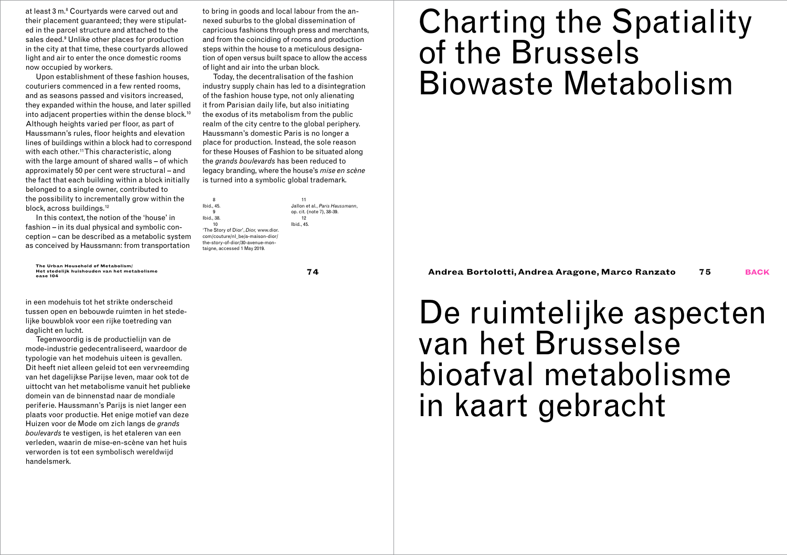at least 3 m.8 Courtyards were carved out and their placement guaranteed; they were stipulated in the parcel structure and attached to the sales deed.9 Unlike other places for production in the city at that time, these courtyards allowed light and air to enter the once domestic rooms now occupied by workers.

Upon establishment of these fashion houses, couturiers commenced in a few rented rooms, and as seasons passed and visitors increased, they expanded within the house, and later spilled into adiacent properties within the dense block.<sup>10</sup> Although heights varied per floor, as part of Haussmann's rules, floor heights and elevation lines of buildings within a block had to correspond with each other.<sup>11</sup> This characteristic, along with the large amount of shared walls – of which approximately 50 per cent were structural – and the fact that each building within a block initially belonged to a single owner, contributed to the possibility to incrementally grow within the block, across buildings.<sup>12</sup>

In this context, the notion of the 'house' in fashion – in its dual physical and symbolic conception – can be described as a metabolic system as conceived by Haussmann: from transportation

**Het stedelijk huishouden van het metabolisme**

in een modehuis tot het strikte onderscheid tussen open en bebouwde ruimten in het stedelijke bouwblok voor een rijke toetreding van daglicht en lucht.

Tegenwoordig is de productielijn van de mode-industrie gedecentraliseerd, waardoor de typologie van het modehuis uiteen is gevallen. Dit heeft niet alleen geleid tot een vervreemding van het dagelijkse Parijse leven, maar ook tot de uittocht van het metabolisme vanuit het publieke domein van de binnenstad naar de mondiale periferie. Haussmann's Parijs is niet langer een plaats voor productie. Het enige motief van deze Huizen voor de Mode om zich langs de *grands boulevards* te vestigen, is het etaleren van een verleden, waarin de mise-en-scène van het huis verworden is tot een symbolisch wereldwijd handelsmerk.

to bring in goods and local labour from the annexed suburbs to the global dissemination of capricious fashions through press and merchants, and from the coinciding of rooms and production steps within the house to a meticulous designation of open versus built space to allow the access of light and air into the urban block.

Today, the decentralisation of the fashion industry supply chain has led to a disintegration of the fashion house type, not only alienating it from Parisian daily life, but also initiating the exodus of its metabolism from the public realm of the city centre to the global periphery. Haussmann's domestic Paris is no longer a place for production. Instead, the sole reason for these Houses of Fashion to be situated along the *grands boulevards* has been reduced to legacy branding, where the house's *mise en scène* is turned into a symbolic global trademark.

Ibid., 45. 'The Story of Dior', *Dior,* www.dior. com/couture/nl\_be/a-maison-dior/ the-story-of-dior/30-avenue-montaigne, accessed 1 May 2019. 11 Jallon et al., *Paris Haussmann*, op. cit. (note 7), 38-39. 12 Ibid., 45.

8

9 Ibid., 38. 10

# Charting the Spatiality of the Brussels Biowaste Metabolism

The Urban Household of Metabolism/<br>Het stedelijk huishouden van het metabolisme<br>oase 104

# De ruimtelijke aspecten van het Brusselse bioafval metabolisme in kaart gebracht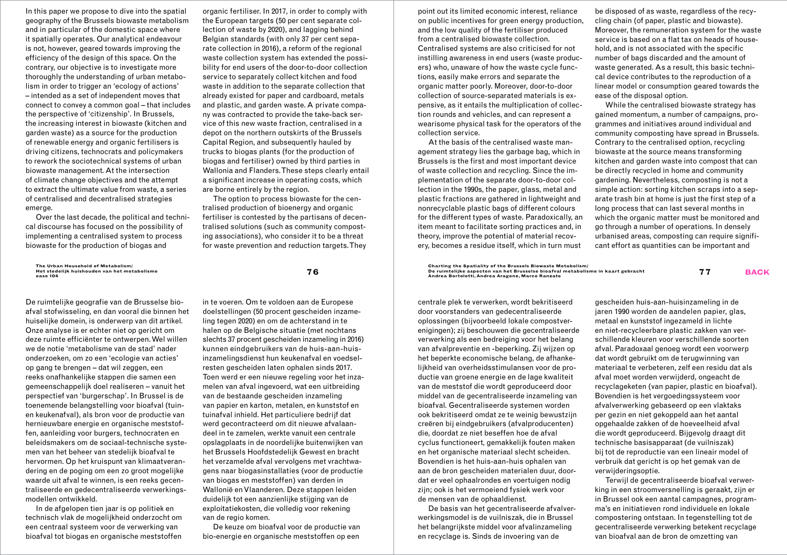In this paper we propose to dive into the spatial geography of the Brussels biowaste metabolism and in particular of the domestic space where it spatially operates. Our analytical endeavour is not, however, geared towards improving the efficiency of the design of this space. On the contrary, our objective is to investigate more thoroughly the understanding of urban metabolism in order to trigger an 'ecology of actions' – intended as a set of independent moves that connect to convey a common goal – that includes the perspective of 'citizenship'. In Brussels, the increasing interest in biowaste (kitchen and garden waste) as a source for the production of renewable energy and organic fertilisers is driving citizens, technocrats and policymakers to rework the sociotechnical systems of urban biowaste management. At the intersection of climate change objectives and the attempt to extract the ultimate value from waste, a series of centralised and decentralised strategies emerge.

Over the last decade, the political and technical discourse has focused on the possibility of implementing a centralised system to process biowaste for the production of biogas and

**The Urban Household of Metabolism/ Het stedelijk huishouden van het metabolisme**

De ruimtelijke geografie van de Brusselse bioafval stofwisseling, en dan vooral die binnen het huiselijke domein, is onderwerp van dit artikel. Onze analyse is er echter niet op gericht om deze ruimte efficiënter te ontwerpen. Wel willen we de notie 'metabolisme van de stad' nader onderzoeken, om zo een 'ecologie van acties' op gang te brengen – dat wil zeggen, een reeks onafhankelijke stappen die samen een gemeenschappelijk doel realiseren – vanuit het perspectief van 'burgerschap'. In Brussel is de toenemende belangstelling voor bioafval (tuinen keukenafval), als bron voor de productie van hernieuwbare energie en organische meststoffen, aanleiding voor burgers, technocraten en beleidsmakers om de sociaal-technische systemen van het beheer van stedelijk bioafval te hervormen. Op het kruispunt van klimaatverandering en de poging om een zo groot mogelijke waarde uit afval te winnen, is een reeks gecentraliseerde en gedecentraliseerde verwerkingsmodellen ontwikkeld.

In de afgelopen tien jaar is op politiek en technisch vlak de mogelijkheid onderzocht om een centraal systeem voor de verwerking van bioafval tot biogas en organische meststoffen

organic fertiliser. In 2017, in order to comply with the European targets (50 per cent separate collection of waste by 2020), and lagging behind Belgian standards (with only 37 per cent separate collection in 2016), a reform of the regional waste collection system has extended the possibility for end users of the door-to-door collection service to separately collect kitchen and food waste in addition to the separate collection that already existed for paper and cardboard, metals and plastic, and garden waste. A private company was contracted to provide the take-back service of this new waste fraction, centralised in a depot on the northern outskirts of the Brussels Capital Region, and subsequently hauled by trucks to biogas plants (for the production of biogas and fertiliser) owned by third parties in Wallonia and Flanders. These steps clearly entail a significant increase in operating costs, which are borne entirely by the region.

The option to process biowaste for the centralised production of bioenergy and organic fertiliser is contested by the partisans of decentralised solutions (such as community composting associations), who consider it to be a threat for waste prevention and reduction targets. They point out its limited economic interest, reliance on public incentives for green energy production, and the low quality of the fertiliser produced from a centralised biowaste collection. Centralised systems are also criticised for not instilling awareness in end users (waste producers) who, unaware of how the waste cycle functions, easily make errors and separate the organic matter poorly. Moreover, door-to-door collection of source-separated materials is expensive, as it entails the multiplication of collection rounds and vehicles, and can represent a wearisome physical task for the operators of the collection service.

At the basis of the centralised waste management strategy lies the garbage bag, which in Brussels is the first and most important device of waste collection and recycling. Since the implementation of the separate door-to-door collection in the 1990s, the paper, glass, metal and plastic fractions are gathered in lightweight and nonrecyclable plastic bags of different colours for the different types of waste. Paradoxically, an item meant to facilitate sorting practices and, in theory, improve the potential of material recovery, becomes a residue itself, which in turn must

be disposed of as waste, regardless of the recycling chain (of paper, plastic and biowaste). Moreover, the remuneration system for the waste service is based on a flat tax on heads of household, and is not associated with the specific number of bags discarded and the amount of waste generated. As a result, this basic technical device contributes to the reproduction of a linear model or consumption geared towards the ease of the disposal option.

While the centralised biowaste strategy has gained momentum, a number of campaigns, programmes and initiatives around individual and community composting have spread in Brussels. Contrary to the centralised option, recycling biowaste at the source means transforming kitchen and garden waste into compost that can be directly recycled in home and community gardening. Nevertheless, composting is not a simple action: sorting kitchen scraps into a separate trash bin at home is just the first step of a long process that can last several months in which the organic matter must be monitored and go through a number of operations. In densely urbanised areas, composting can require significant effort as quantities can be important and

The Urban Household of Metabolism/<br>Het stedelijk huishouden van het metabolisme aan af die van die van die van die van die van die van die van die<br>The die and a consequently and the district of the stead of the spectrum o

centrale plek te verwerken, wordt bekritiseerd door voorstanders van gedecentraliseerde oplossingen (bijvoorbeeld lokale compostverenigingen); zij beschouwen die gecentraliseerde verwerking als een bedreiging voor het belang van afvalpreventie en -beperking. Zij wijzen op het beperkte economische belang, de afhankelijkheid van overheidsstimulansen voor de productie van groene energie en de lage kwaliteit van de meststof die wordt geproduceerd door middel van de gecentraliseerde inzameling van bioafval. Gecentraliseerde systemen worden ook bekritiseerd omdat ze te weinig bewustzijn creëren bij eindgebruikers (afvalproducenten) die, doordat ze niet beseffen hoe de afval cyclus functioneert, gemakkelijk fouten maken en het organische materiaal slecht scheiden. Bovendien is het huis-aan-huis ophalen van aan de bron gescheiden materialen duur, doordat er veel ophaalrondes en voertuigen nodig zijn; ook is het vermoeiend fysiek werk voor de mensen van de ophaaldienst.

De basis van het gecentraliseerde afvalverwerkingsmodel is de vuilniszak, die in Brussel het belangrijkste middel voor afvalinzameling en recyclage is. Sinds de invoering van de

gescheiden huis-aan-huisinzameling in de jaren 1990 worden de aandelen papier, glas, metaal en kunststof ingezameld in lichte en niet-recycleerbare plastic zakken van verschillende kleuren voor verschillende soorten afval. Paradoxaal genoeg wordt een voorwerp dat wordt gebruikt om de terugwinning van materiaal te verbeteren, zelf een residu dat als afval moet worden verwijderd, ongeacht de recyclageketen (van papier, plastic en bioafval). Bovendien is het vergoedingssysteem voor afvalverwerking gebaseerd op een vlaktaks per gezin en niet gekoppeld aan het aantal opgehaalde zakken of de hoeveelheid afval die wordt geproduceerd. Bijgevolg draagt dit technische basisapparaat (de vuilniszak) bij tot de reproductie van een lineair model of verbruik dat gericht is op het gemak van de verwijderingsoptie.

Terwijl de gecentraliseerde bioafval verwerking in een stroomversnelling is geraakt, zijn er in Brussel ook een aantal campagnes, programma's en initiatieven rond individuele en lokale compostering ontstaan. In tegenstelling tot de gecentraliseerde verwerking betekent recyclage van bioafval aan de bron de omzetting van

in te voeren. Om te voldoen aan de Europese doelstellingen (50 procent gescheiden inzameling tegen 2020) en om de achterstand in te halen op de Belgische situatie (met nochtans slechts 37 procent gescheiden inzameling in 2016) kunnen eindgebruikers van de huis-aan-huisinzamelingsdienst hun keukenafval en voedselresten gescheiden laten ophalen sinds 2017. Toen werd er een nieuwe regeling voor het inzamelen van afval ingevoerd, wat een uitbreiding van de bestaande gescheiden inzameling van papier en karton, metalen, en kunststof en tuinafval inhield. Het particuliere bedrijf dat werd gecontracteerd om dit nieuwe afvalaandeel in te zamelen, werkte vanuit een centrale opslagplaats in de noordelijke buitenwijken van het Brussels Hoofdstedelijk Gewest en bracht het verzamelde afval vervolgens met vrachtwagens naar biogasinstallaties (voor de productie van biogas en meststoffen) van derden in Wallonië en Vlaanderen. Deze stappen leiden duidelijk tot een aanzienlijke stijging van de exploitatiekosten, die volledig voor rekening van de regio komen.

De keuze om bioafval voor de productie van bio-energie en organische meststoffen op een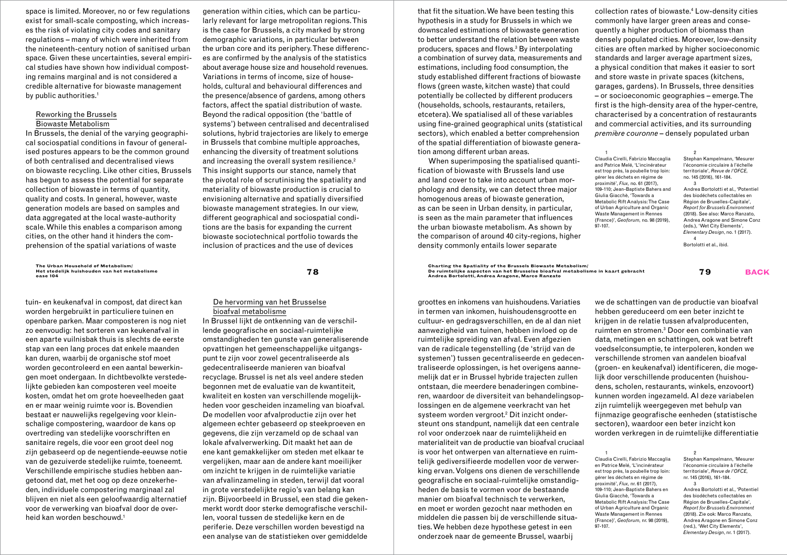space is limited. Moreover, no or few regulations exist for small-scale composting, which increases the risk of violating city codes and sanitary regulations – many of which were inherited from the nineteenth-century notion of sanitised urban space. Given these uncertainties, several empirical studies have shown how individual composting remains marginal and is not considered a credible alternative for biowaste management by public authorities.<sup>1</sup>

### Reworking the Brussels Biowaste Metabolism

In Brussels, the denial of the varying geographical sociospatial conditions in favour of generalised postures appears to be the common ground of both centralised and decentralised views on biowaste recycling. Like other cities, Brussels has begun to assess the potential for separate collection of biowaste in terms of quantity, quality and costs. In general, however, waste generation models are based on samples and data aggregated at the local waste-authority scale. While this enables a comparison among cities, on the other hand it hinders the comprehension of the spatial variations of waste

**The Urban Household of Metabolism/ Het stedelijk huishouden van het metabolisme**

tuin- en keukenafval in compost, dat direct kan worden hergebruikt in particuliere tuinen en openbare parken. Maar composteren is nog niet zo eenvoudig: het sorteren van keukenafval in een aparte vuilnisbak thuis is slechts de eerste stap van een lang proces dat enkele maanden kan duren, waarbij de organische stof moet worden gecontroleerd en een aantal bewerkingen moet ondergaan. In dichtbevolkte verstedelijkte gebieden kan composteren veel moeite kosten, omdat het om grote hoeveelheden gaat en er maar weinig ruimte voor is. Bovendien bestaat er nauwelijks regelgeving voor kleinschalige compostering, waardoor de kans op overtreding van stedelijke voorschriften en sanitaire regels, die voor een groot deel nog zijn gebaseerd op de negentiende-eeuwse notie van de gezuiverde stedelijke ruimte, toeneemt. Verschillende empirische studies hebben aangetoond dat, met het oog op deze onzekerheden, individuele compostering marginaal zal blijven en niet als een geloofwaardig alternatief voor de verwerking van bioafval door de overheid kan worden beschouwd.<sup>1</sup>

generation within cities, which can be particularly relevant for large metropolitan regions. This is the case for Brussels, a city marked by strong demographic variations, in particular between the urban core and its periphery. These differences are confirmed by the analysis of the statistics about average house size and household revenues. Variations in terms of income, size of households, cultural and behavioural differences and the presence/absence of gardens, among others factors, affect the spatial distribution of waste. Beyond the radical opposition (the 'battle of systems') between centralised and decentralised solutions, hybrid trajectories are likely to emerge in Brussels that combine multiple approaches, enhancing the diversity of treatment solutions and increasing the overall system resilience.<sup>2</sup> This insight supports our stance, namely that the pivotal role of scrutinising the spatiality and materiality of biowaste production is crucial to envisioning alternative and spatially diversified biowaste management strategies. In our view, different geographical and sociospatial conditions are the basis for expanding the current biowaste sociotechnical portfolio towards the inclusion of practices and the use of devices

that fit the situation. We have been testing this hypothesis in a study for Brussels in which we downscaled estimations of biowaste generation to better understand the relation between waste producers, spaces and flows.3 By interpolating a combination of survey data, measurements and estimations, including food consumption, the study established different fractions of biowaste flows (green waste, kitchen waste) that could potentially be collected by different producers (households, schools, restaurants, retailers, etcetera). We spatialised all of these variables using fine-grained geographical units (statistical sectors), which enabled a better comprehension of the spatial differentiation of biowaste generation among different urban areas.

When superimposing the spatialised quantification of biowaste with Brussels land use and land cover to take into account urban morphology and density, we can detect three major homogenous areas of biowaste generation, as can be seen in Urban density, in particular, is seen as the main parameter that influences the urban biowaste metabolism. As shown by the comparison of around 40 city-regions, higher density commonly entails lower separate

collection rates of biowaste.4 Low-density cities commonly have larger green areas and consequently a higher production of biomass than densely populated cities. Moreover, low-density cities are often marked by higher socioeconomic standards and larger average apartment sizes, a physical condition that makes it easier to sort and store waste in private spaces (kitchens, garages, gardens). In Brussels, three densities – or socioeconomic geographies – emerge. The first is the high-density area of the hyper-centre, characterised by a concentration of restaurants and commercial activities, and its surrounding *premi*è*re couronne –* densely populated urban

 $\overline{1}$ Claudia Cirelli, Fabrizio Maccaglia and Patrice Melé, 'L'incinérateur est trop près, la poubelle trop loin: gérer les déchets en régime de proximité', *Flux,* no. 61 (2017), .<br>109-110: Jean-Bantiste Bahers and Giulia Giacchè, 'Towards a Metabolic Rift Analysis: The Case of Urban Agriculture and Organic Waste Management in Rennes (France)', *Geoforum,* no. 98 (2019), 97-107.  $\overline{2}$ 3

Stephan Kampelmann, 'Mesurer l'économie circulaire à l'échelle territoriale', *Revue de l'OFCE,* no. 145 (2016), 161-184. Andrea Bortolotti et al., 'Potentiel des biodéchets collectables en Région de Bruxelles-Capitale', *Report for Brussels Environment* (2018). See also: Marco Ranzato,

Andrea Aragone and Simone Conz (eds.), 'Wet City Elements', *Elementary Design*, no. 1 (2017). 4 Bortolotti et al., ibid.

**<sup>78</sup> Charting the Spatiality of the Brussels Biowaste Metabolism/ De ruimtelijke aspecten van het Brusselse bioafval metabolisme in kaart gebracht oase 104 79 back**

groottes en inkomens van huishoudens. Variaties onderzoek naar de gemeente Brussel, waarbij

we de schattingen van de productie van bioafval hebben gereduceerd om een beter inzicht te krijgen in de relatie tussen afvalproducenten, ruimten en stromen.3 Door een combinatie van data, metingen en schattingen, ook wat betreft voedselconsumptie, te interpoleren, konden we verschillende stromen van aandelen bioafval (groen- en keukenafval) identificeren, die mogelijk door verschillende producenten (huishoudens, scholen, restaurants, winkels, enzovoort) kunnen worden ingezameld. Al deze variabelen zijn ruimtelijk weergegeven met behulp van fijnmazige geografische eenheden (statistische sectoren), waardoor een beter inzicht kon worden verkregen in de ruimtelijke differentiatie

1 Claudia Cirelli, Fabrizio Maccaglia en Patrice Melé, 'L'incinérateur est trop près, la poubelle trop loin: gérer les déchets en régime de proximité', *Flux,* nr. 61 (2017), 109-110; Jean-Baptiste Bahers en Giulia Giacchè, 'Towards a Metabolic Rift Analysis: The Case of Urban Agriculture and Organic Waste Management in Rennes (France)', *Geoforum,* nr. 98 (2019), 97-107.

 $\overline{2}$ Stephan Kampelmann, 'Mesurer l'économie circulaire à l'échelle territoriale', *Revue de l'OFCE,* nr. 145 (2016), 161-184.

3

Andrea Bortolotti et al., 'Potentiel des biodéchets collectables en Région de Bruxelles-Capitale', *Report for Brussels Environment* (2018). Zie ook: Marco Ranzato, Andrea Aragone en Simone Conz (red.), 'Wet City Elements', *Elementary Design*, nr. 1 (2017).

**Andrea Bortolotti, Andrea Aragone, Marco Ranzato**

in termen van inkomen, huishoudensgrootte en cultuur- en gedragsverschillen, en de al dan niet aanwezigheid van tuinen, hebben invloed op de ruimtelijke spreiding van afval. Even afgezien van de radicale tegenstelling (de 'strijd van de systemen') tussen gecentraliseerde en gedecentraliseerde oplossingen, is het overigens aannemelijk dat er in Brussel hybride trajecten zullen ontstaan, die meerdere benaderingen combineren, waardoor de diversiteit van behandelingsoplossingen en de algemene veerkracht van het systeem worden vergroot.<sup>2</sup> Dit inzicht ondersteunt ons standpunt, namelijk dat een centrale rol voor onderzoek naar de ruimtelijkheid en materialiteit van de productie van bioafval cruciaal is voor het ontwerpen van alternatieve en ruimtelijk gediversifieerde modellen voor de verwerking ervan. Volgens ons dienen de verschillende geografische en sociaal-ruimtelijke omstandigheden de basis te vormen voor de bestaande manier om bioafval technisch te verwerken, en moet er worden gezocht naar methoden en middelen die passen bij de verschillende situaties. We hebben deze hypothese getest in een

# De hervorming van het Brusselse bioafval metabolisme In Brussel lijkt de ontkenning van de verschil-

lende geografische en sociaal-ruimtelijke omstandigheden ten gunste van generaliserende opvattingen het gemeenschappelijke uitgangspunt te zijn voor zowel gecentraliseerde als gedecentraliseerde manieren van bioafval recyclage. Brussel is net als veel andere steden begonnen met de evaluatie van de kwantiteit, kwaliteit en kosten van verschillende mogelijkheden voor gescheiden inzameling van bioafval. De modellen voor afvalproductie zijn over het algemeen echter gebaseerd op steekproeven en gegevens, die zijn verzameld op de schaal van lokale afvalverwerking. Dit maakt het aan de ene kant gemakkelijker om steden met elkaar te vergelijken, maar aan de andere kant moeilijker om inzicht te krijgen in de ruimtelijke variatie van afvalinzameling in steden, terwijl dat vooral in grote verstedelijkte regio's van belang kan zijn. Bijvoorbeeld in Brussel, een stad die gekenmerkt wordt door sterke demografische verschillen, vooral tussen de stedelijke kern en de periferie. Deze verschillen worden bevestigd na een analyse van de statistieken over gemiddelde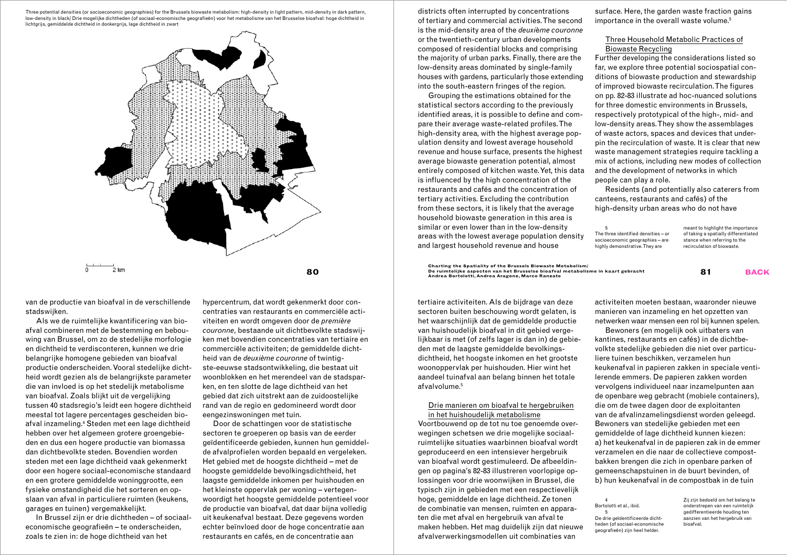Three potential densities (or socioeconomic geographies) for the Brussels biowaste metabolism: high-density in light pattern, mid-density in dark pattern, low-density in black/ Drie mogelijke dichtheden (of sociaal-economische geografieën) voor het metabolisme van het Brusselse bioafval: hoge dichtheid in lichtgrijs, gemiddelde dichtheid in donkergrijs, lage dichtheid in zwart



van de productie van bioafval in de verschillende stadswijken.

Als we de ruimtelijke kwantificering van bioafval combineren met de bestemming en bebouwing van Brussel, om zo de stedelijke morfologie en dichtheid te verdisconteren, kunnen we drie belangrijke homogene gebieden van bioafval productie onderscheiden. Vooral stedelijke dichtheid wordt gezien als de belangrijkste parameter die van invloed is op het stedelijk metabolisme van bioafval. Zoals blijkt uit de vergelijking tussen 40 stadsregio's leidt een hogere dichtheid meestal tot lagere percentages gescheiden bioafval inzameling.4 Steden met een lage dichtheid hebben over het algemeen grotere groengebieden en dus een hogere productie van biomassa dan dichtbevolkte steden. Bovendien worden steden met een lage dichtheid vaak gekenmerkt door een hogere sociaal-economische standaard en een grotere gemiddelde woninggrootte, een fysieke omstandigheid die het sorteren en opslaan van afval in particuliere ruimten (keukens, garages en tuinen) vergemakkelijkt.

In Brussel zijn er drie dichtheden – of sociaaleconomische geografieën – te onderscheiden, zoals te zien in: de hoge dichtheid van het

hypercentrum, dat wordt gekenmerkt door concentraties van restaurants en commerciële activiteiten en wordt omgeven door de *première couronne*, bestaande uit dichtbevolkte stadswijken met bovendien concentraties van tertiaire en commerciële activiteiten; de gemiddelde dichtheid van de *deuxième couronne* of twintigste-eeuwse stadsontwikkeling, die bestaat uit woonblokken en het merendeel van de stadsparken, en ten slotte de lage dichtheid van het gebied dat zich uitstrekt aan de zuidoostelijke rand van de regio en gedomineerd wordt door eengezinswoningen met tuin.

Door de schattingen voor de statistische sectoren te groeperen op basis van de eerder geïdentificeerde gebieden, kunnen hun gemiddelde afvalprofielen worden bepaald en vergeleken. Het gebied met de hoogste dichtheid – met de hoogste gemiddelde bevolkingsdichtheid, het laagste gemiddelde inkomen per huishouden en het kleinste oppervlak per woning – vertegenwoordigt het hoogste gemiddelde potentieel voor de productie van bioafval, dat daar bijna volledig uit keukenafval bestaat. Deze gegevens worden echter beïnvloed door de hoge concentratie aan restaurants en cafés, en de concentratie aan

districts often interrupted by concentrations of tertiary and commercial activities. The second is the mid-density area of the *deuxi*è*me couronne*  or the twentieth-century urban developments composed of residential blocks and comprising the majority of urban parks. Finally, there are the low-density areas dominated by single-family houses with gardens, particularly those extending into the south-eastern fringes of the region.

Grouping the estimations obtained for the statistical sectors according to the previously identified areas, it is possible to define and compare their average waste-related profiles. The high-density area, with the highest average population density and lowest average household revenue and house surface, presents the highest average biowaste generation potential, almost entirely composed of kitchen waste. Yet, this data is influenced by the high concentration of the restaurants and cafés and the concentration of tertiary activities. Excluding the contribution from these sectors, it is likely that the average household biowaste generation in this area is similar or even lower than in the low-density areas with the lowest average population density and largest household revenue and house

surface. Here, the garden waste fraction gains importance in the overall waste volume.<sup>5</sup>

# Three Household Metabolic Practices of Biowaste Recycling

Further developing the considerations listed so far, we explore three potential sociospatial conditions of biowaste production and stewardship of improved biowaste recirculation. The figures on pp. 82-83 illustrate ad hoc-nuanced solutions for three domestic environments in Brussels, respectively prototypical of the high-, mid- and low-density areas. They show the assemblages of waste actors, spaces and devices that underpin the recirculation of waste. It is clear that new waste management strategies require tackling a mix of actions, including new modes of collection and the development of networks in which people can play a role.

Residents (and potentially also caterers from canteens, restaurants and cafés) of the high-density urban areas who do not have

| 5<br>The three identified densities - or<br>socioeconomic geographies - are<br>highly demonstrative. They are | meant to highlight the importance<br>of taking a spatially differentiated<br>stance when referring to the<br>recirculation of biowaste. |
|---------------------------------------------------------------------------------------------------------------|-----------------------------------------------------------------------------------------------------------------------------------------|
|                                                                                                               |                                                                                                                                         |

 $\bf 80$   $\bf 81$   $\bf 84$   $\bf 85$   $\bf 86$   $\bf 87$   $\bf 88$   $\bf 89$   $\bf 89$   $\bf 89$   $\bf 89$   $\bf 89$   $\bf 89$   $\bf 89$   $\bf 89$   $\bf 89$   $\bf 89$   $\bf 89$   $\bf 89$   $\bf 89$   $\bf 89$   $\bf 89$   $\bf 89$   $\bf 89$   $\bf 89$   $\bf 89$   $\bf 89$   $\bf 8$ 

tertiaire activiteiten. Als de bijdrage van deze sectoren buiten beschouwing wordt gelaten, is het waarschijnlijk dat de gemiddelde productie van huishoudelijk bioafval in dit gebied vergelijkbaar is met (of zelfs lager is dan in) de gebieden met de laagste gemiddelde bevolkingsdichtheid, het hoogste inkomen en het grootste woonoppervlak per huishouden. Hier wint het aandeel tuinafval aan belang binnen het totale afvalvolume.<sup>5</sup>

# Drie manieren om bioafval te hergebruiken in het huishoudelijk metabolisme

Voortbouwend op de tot nu toe genoemde overwegingen schetsen we drie mogelijke sociaalruimtelijke situaties waarbinnen bioafval wordt geproduceerd en een intensiever hergebruik van bioafval wordt gestimuleerd. De afbeeldingen op pagina's 82-83 illustreren voorlopige oplossingen voor drie woonwijken in Brussel, die typisch zijn in gebieden met een respectievelijk hoge, gemiddelde en lage dichtheid. Ze tonen de combinatie van mensen, ruimten en apparaten die met afval en hergebruik van afval te maken hebben. Het mag duidelijk zijn dat nieuwe afvalverwerkingsmodellen uit combinaties van

activiteiten moeten bestaan, waaronder nieuwe manieren van inzameling en het opzetten van netwerken waar mensen een rol bij kunnen spelen.

Bewoners (en mogelijk ook uitbaters van kantines, restaurants en cafés) in de dichtbevolkte stedelijke gebieden die niet over particuliere tuinen beschikken, verzamelen hun keukenafval in papieren zakken in speciale ventilerende emmers. De papieren zakken worden vervolgens individueel naar inzamelpunten aan de openbare weg gebracht (mobiele containers), die om de twee dagen door de exploitanten van de afvalinzamelingsdienst worden geleegd. Bewoners van stedelijke gebieden met een gemiddelde of lage dichtheid kunnen kiezen: a) het keukenafval in de papieren zak in de emmer verzamelen en die naar de collectieve compostbakken brengen die zich in openbare parken of gemeenschapstuinen in de buurt bevinden, of b) hun keukenafval in de compostbak in de tuin

4 Bortolotti et al., ibid. 5 De drie geïdentificeerde dicht-

geografieën) zijn heel helder.

heden (of sociaal-economische onderstrepen van een ruimtelijk gedifferentieerde houding ten aanzien van het hergebruik van bioafval.

Zij zijn bedoeld om het belang te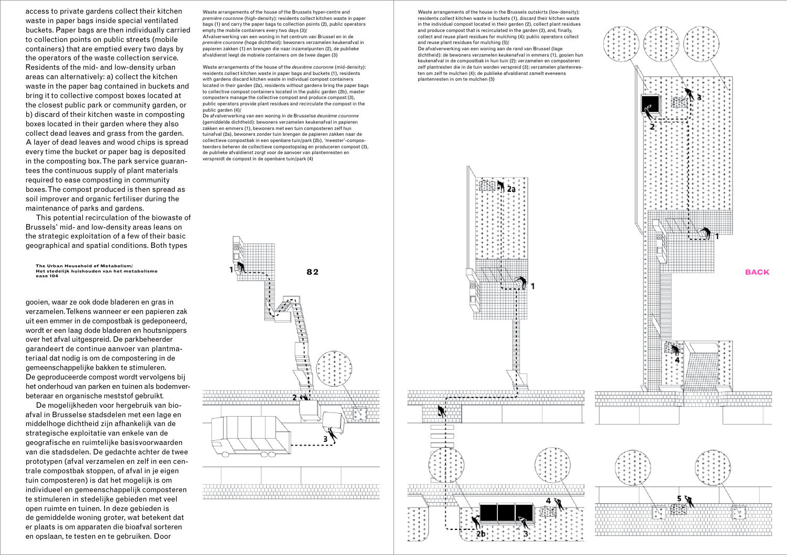access to private gardens collect their kitchen waste in paper bags inside special ventilated buckets. Paper bags are then individually carried to collection points on public streets (mobile containers) that are emptied every two days by the operators of the waste collection service. Residents of the mid- and low-density urban areas can alternatively: a) collect the kitchen waste in the paper bag contained in buckets and bring it to collective compost boxes located at the closest public park or community garden, or b) discard of their kitchen waste in composting boxes located in their garden where they also collect dead leaves and grass from the garden. A layer of dead leaves and wood chips is spread every time the bucket or paper bag is deposited in the composting box. The park service guaran tees the continuous supply of plant materials required to ease composting in community boxes. The compost produced is then spread as soil improver and organic fertiliser during the maintenance of parks and gardens.

This potential recirculation of the biowaste of Brussels' mid- and low-density areas leans on the strategic exploitation of a few of their basic geographical and spatial conditions. Both types

The Urban Household of Metabolism/<br>Het stedelijk huishouden van het metabolisme<br>osee 104

gooien, waar ze ook dode bladeren en gras in verzamelen. Telkens wanneer er een papieren zak uit een emmer in de compostbak is gedeponeerd, wordt er een laag dode bladeren en houtsnippers over het afval uitgespreid. De parkbeheerder garandeert de continue aanvoer van plantma teriaal dat nodig is om de compostering in de gemeenschappelijke bakken te stimuleren. De geproduceerde compost wordt vervolgens bij het onderhoud van parken en tuinen als bodemver beteraar en organische meststof gebruikt.

De mogelijkheden voor hergebruik van bio afval in Brusselse stadsdelen met een lage en middelhoge dichtheid zijn afhankelijk van de strategische exploitatie van enkele van de geografische en ruimtelijke basisvoorwaarden van die stadsdelen. De gedachte achter de twee prototypen (afval verzamelen en zelf in een cen trale compostbak stoppen, of afval in je eigen tuin composteren) is dat het mogelijk is om individueel en gemeenschappelijk composteren te stimuleren in stedelijke gebieden met veel open ruimte en tuinen. In deze gebieden is de gemiddelde woning groter, wat betekent dat er plaats is om apparaten die bioafval sorteren en opslaan, te testen en te gebruiken. Door

Waste arrangements of the house of the Brussels hyper-centre and *première couronne* (high-density): residents collect kitchen waste in paper bags (1) and carry the paper bags to collection points (2), public operators empty the mobile containers every two days (3). Afvalverwerking van een woning in het centrum van Brussel en in de *première couronne* (hoge dichtheid): bewoners verzamelen keukenafval in papieren zakken (1) en brengen die naar inzamelpunten (2), de publieke afvaldienst leegt de mobiele containers om de twee dagen (3)

Waste arrangements of the house of the *deuxième couronne* (mid-density): residents collect kitchen waste in paper bags and buckets (1), residents with gardens discard kitchen waste in individual compost containers located in their garden (2a), residents without gardens bring the paper bags to collective compost containers located in the public garden (2b), master composters manage the collective compost and produce compost (3), public operators provide plant residues and recirculate the compost in the public garden (4)/

De afvalverwerking van een woning in de Brusselse *deuxième couronne*  (gemiddelde dichtheid): bewoners verzamelen keukenafval in papieren zakken en emmers (1), bewoners met een tuin composteren zelf hun tuinafval (2a), bewoners zonder tuin brengen de papieren zakken naar de collectieve compostbak in een openbare tuin/park (2b), 'meester'-compos teerders beheren de collectieve compostopslag en produceren compost (3), de publieke afvaldienst zorgt voor de aanvoer van plantenresten en verspreidt de compost in de openbare tuin/park (4)

 $2<sup>o</sup>$ 

Waste arrangements of the house in the Brussels outskirts (low-density): residents collect kitchen waste in buckets (1), discard their kitchen waste in the individual compost located in their garden (2), collect plant residues and produce compost that is recirculated in the garden (3), and, finally, collect and reuse plant residues for mulching (4); public operators collect and reuse plant residues for mulching (5)/

De afvalverwerking van een woning aan de rand van Brussel (lage dichtheid): de bewoners verzamelen keukenafval in emmers (1), gooien hun keukenafval in de compostbak in hun tuin (2); verzamelen en composteren zelf plantresten die in de tuin worden verspreid (3); verzamelen plantenres ten om zelf te mulchen (4); de publieke afvaldienst zamelt eveneens plantenresten in om te mulchen (5)